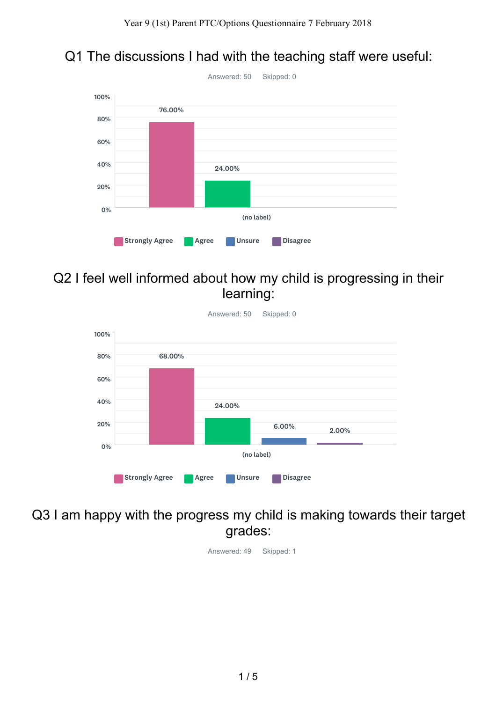## Q1 The discussions I had with the teaching staff were useful:



### Q2 I feel well informed about how my child is progressing in their learning:



#### Q3 I am happy with the progress my child is making towards their target grades:

Answered: 49 Skipped: 1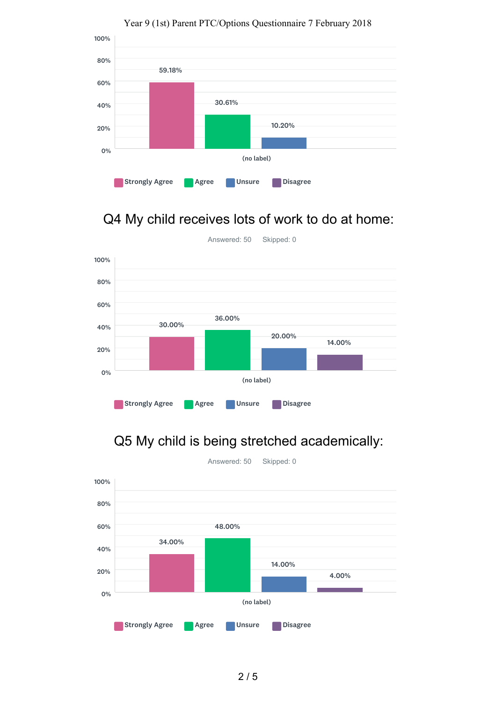

#### Year 9 (1st) Parent PTC/Options Questionnaire 7 February 2018

# Q4 My child receives lots of work to do at home:



### Q5 My child is being stretched academically:



2 / 5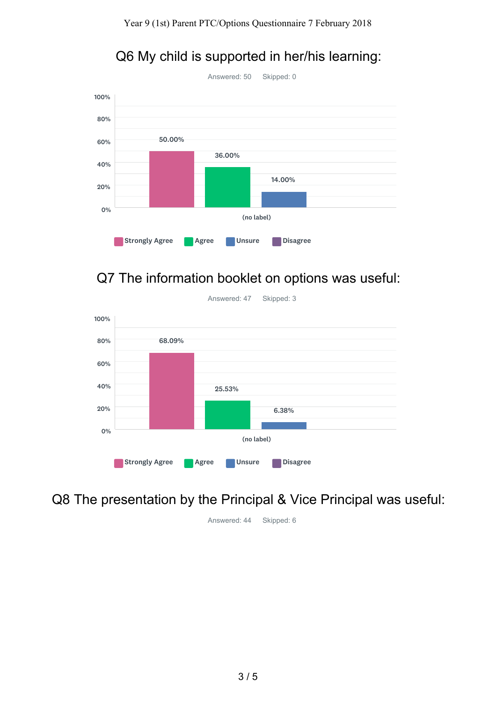

### Q6 My child is supported in her/his learning:

## Q7 The information booklet on options was useful:



Q8 The presentation by the Principal & Vice Principal was useful:

Answered: 44 Skipped: 6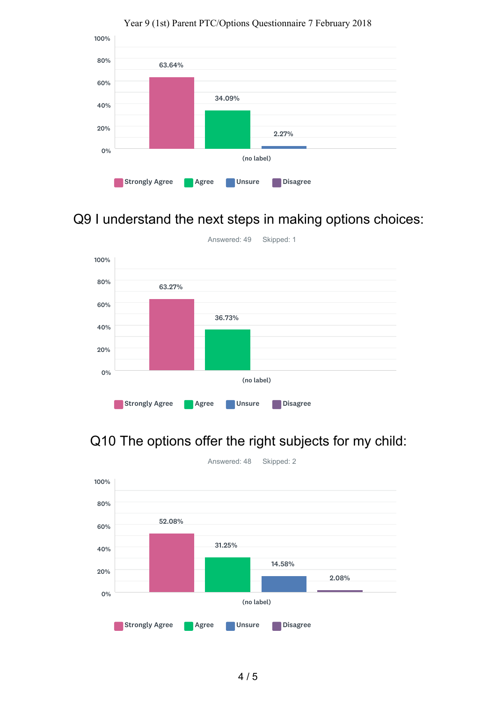

#### Year 9 (1st) Parent PTC/Options Questionnaire 7 February 2018

## Q9 I understand the next steps in making options choices:



# Q10 The options offer the right subjects for my child: